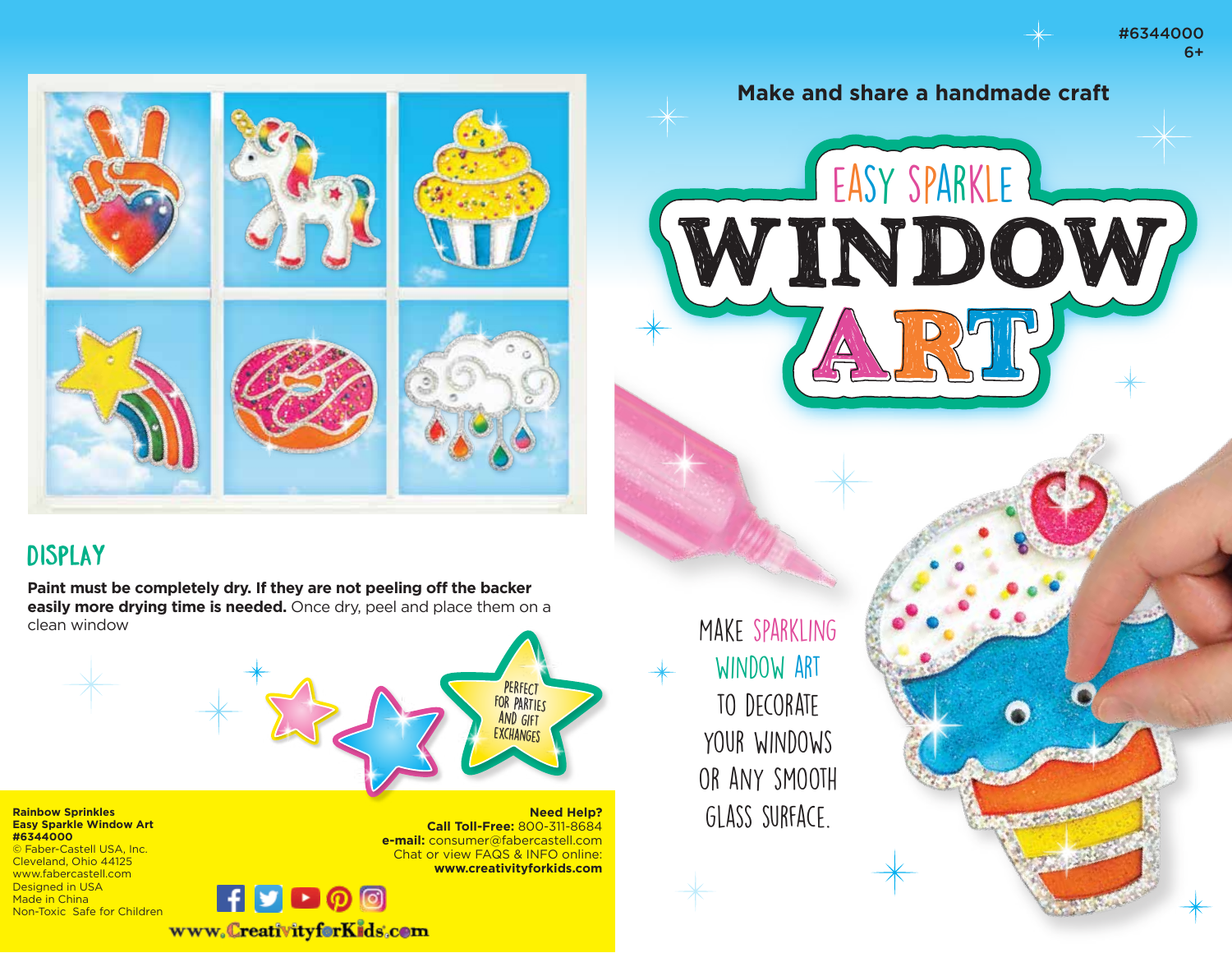#6344000 6+





## Display

**Paint must be completely dry. If they are not peeling off the backer easily more drying time is needed.** Once dry, peel and place them on a clean window



**Rainbow Sprinkles Easy Sparkle Window Art #6344000**

© Faber-Castell USA, Inc. Cleveland, Ohio 44125 www.fabercastell.com Designed in USA Made in China Non-Toxic Safe for Children



Make sparkling window art to decorate your windows or any smooth glass surface.

**Need Help?**

**Call Toll-Free:** 800-311-8684 **e-mail:** consumer@fabercastell.com Chat or view FAQS & INFO online: